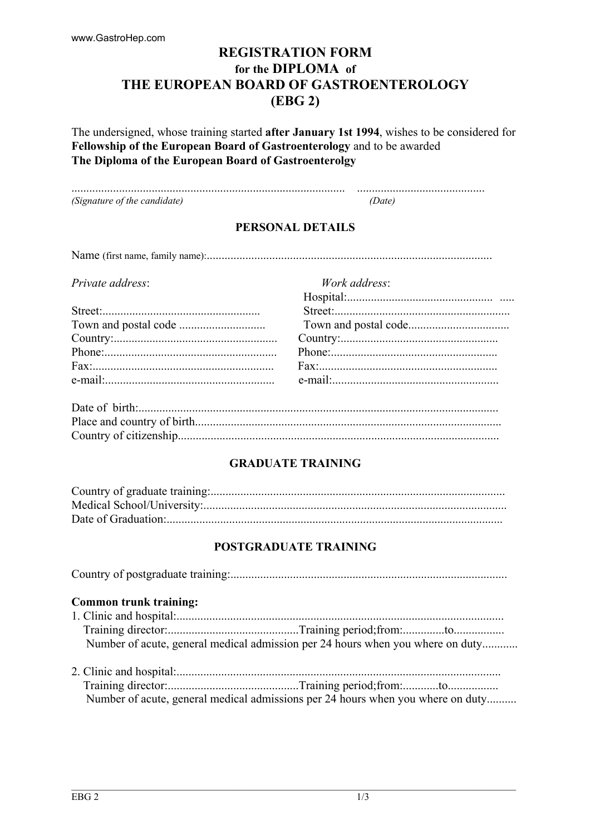# **REGISTRATION FORM** for the DIPLOMA of THE EUROPEAN BOARD OF GASTROENTEROLOGY  $(EBG 2)$

The undersigned, whose training started after January 1st 1994, wishes to be considered for Fellowship of the European Board of Gastroenterology and to be awarded The Diploma of the European Board of Gastroenterolgy

(Signature of the candidate)  $(Date)$ 

# PERSONAL DETAILS

Work address:

Private address:

## **GRADUATE TRAINING**

## POSTGRADUATE TRAINING

#### **Common trunk training:**

| Number of acute, general medical admission per 24 hours when you where on duty |  |
|--------------------------------------------------------------------------------|--|

|  | Number of acute, general medical admissions per 24 hours when you where on duty |  |
|--|---------------------------------------------------------------------------------|--|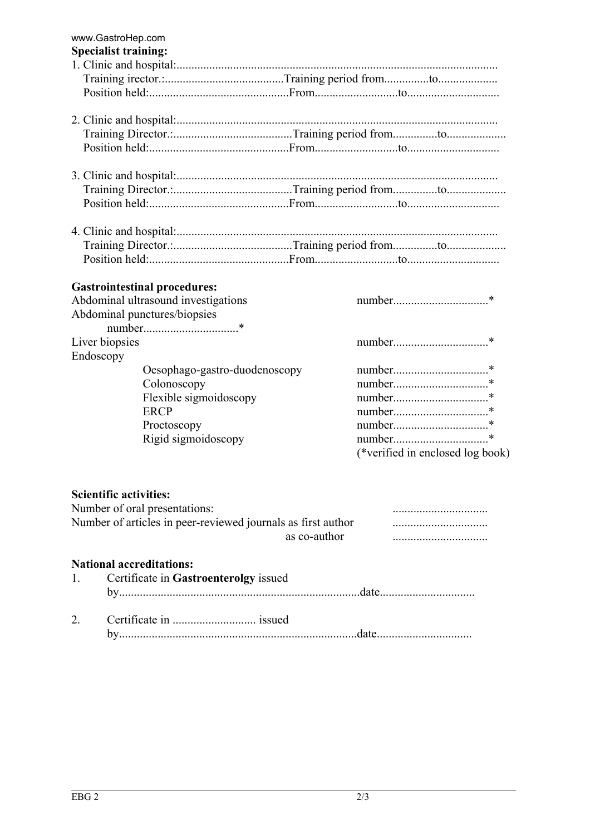| www.GastroHep.com<br><b>Specialist training:</b>             |              |                                                                                                                                                                                                                                |  |
|--------------------------------------------------------------|--------------|--------------------------------------------------------------------------------------------------------------------------------------------------------------------------------------------------------------------------------|--|
|                                                              |              |                                                                                                                                                                                                                                |  |
|                                                              |              |                                                                                                                                                                                                                                |  |
|                                                              |              |                                                                                                                                                                                                                                |  |
|                                                              |              |                                                                                                                                                                                                                                |  |
|                                                              |              |                                                                                                                                                                                                                                |  |
|                                                              |              |                                                                                                                                                                                                                                |  |
|                                                              |              |                                                                                                                                                                                                                                |  |
|                                                              |              |                                                                                                                                                                                                                                |  |
|                                                              |              |                                                                                                                                                                                                                                |  |
|                                                              |              |                                                                                                                                                                                                                                |  |
|                                                              |              |                                                                                                                                                                                                                                |  |
|                                                              |              |                                                                                                                                                                                                                                |  |
|                                                              |              |                                                                                                                                                                                                                                |  |
|                                                              |              |                                                                                                                                                                                                                                |  |
|                                                              |              |                                                                                                                                                                                                                                |  |
|                                                              |              |                                                                                                                                                                                                                                |  |
| <b>Gastrointestinal procedures:</b>                          |              |                                                                                                                                                                                                                                |  |
| Abdominal ultrasound investigations                          |              |                                                                                                                                                                                                                                |  |
| Abdominal punctures/biopsies                                 |              |                                                                                                                                                                                                                                |  |
|                                                              |              |                                                                                                                                                                                                                                |  |
| Liver biopsies                                               |              |                                                                                                                                                                                                                                |  |
| Endoscopy                                                    |              |                                                                                                                                                                                                                                |  |
| Oesophago-gastro-duodenoscopy                                |              |                                                                                                                                                                                                                                |  |
| Colonoscopy                                                  |              |                                                                                                                                                                                                                                |  |
| Flexible sigmoidoscopy                                       |              |                                                                                                                                                                                                                                |  |
| <b>ERCP</b>                                                  |              |                                                                                                                                                                                                                                |  |
| Proctoscopy                                                  |              |                                                                                                                                                                                                                                |  |
| Rigid sigmoidoscopy                                          |              |                                                                                                                                                                                                                                |  |
|                                                              |              | (*verified in enclosed log book)                                                                                                                                                                                               |  |
|                                                              |              |                                                                                                                                                                                                                                |  |
|                                                              |              |                                                                                                                                                                                                                                |  |
| <b>Scientific activities:</b>                                |              |                                                                                                                                                                                                                                |  |
| Number of oral presentations:                                |              |                                                                                                                                                                                                                                |  |
| Number of articles in peer-reviewed journals as first author |              |                                                                                                                                                                                                                                |  |
|                                                              | as co-author |                                                                                                                                                                                                                                |  |
|                                                              |              |                                                                                                                                                                                                                                |  |
| <b>National accreditations:</b>                              |              |                                                                                                                                                                                                                                |  |
| Certificate in Gastroenterolgy issued<br>1.                  |              |                                                                                                                                                                                                                                |  |
|                                                              |              | date and the contract of the contract of the contract of the contract of the contract of the contract of the contract of the contract of the contract of the contract of the contract of the contract of the contract of the c |  |

Certificate in ................................. issued  $2.$